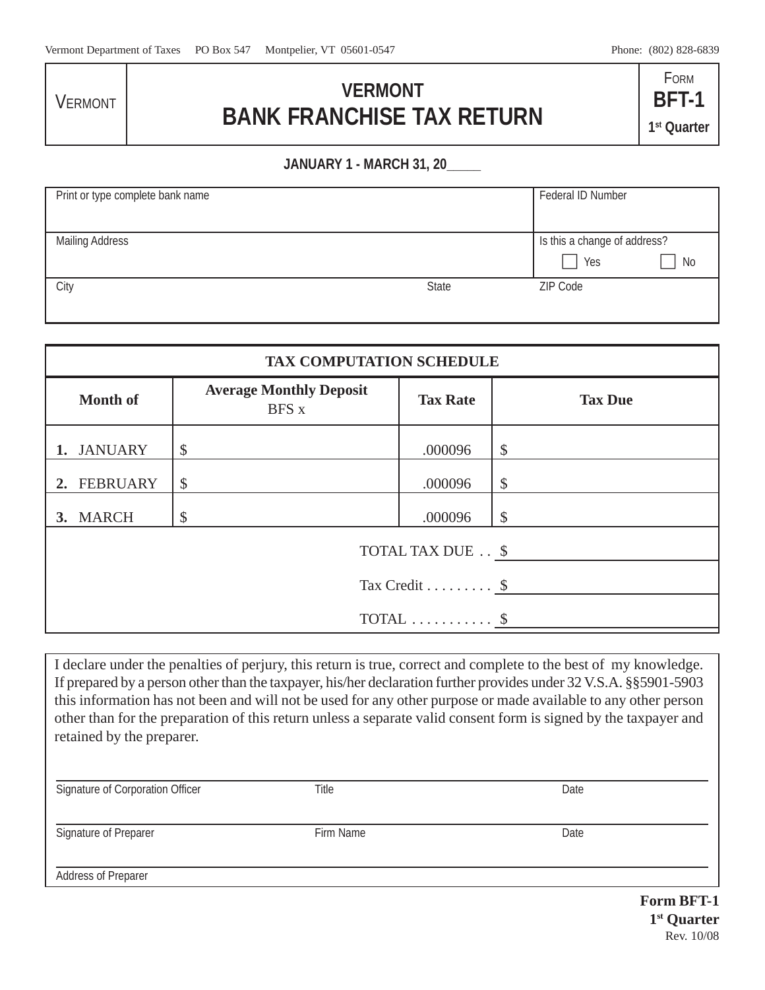**VERMONT** 

## **VERMONT BANK FRANCHISE TAX RETURN**

FORM **BFT-1 1st Quarter**

## **JANUARY 1 - MARCH 31, 20\_\_\_\_\_**

| Print or type complete bank name |              | Federal ID Number            |
|----------------------------------|--------------|------------------------------|
|                                  |              |                              |
| <b>Mailing Address</b>           |              | Is this a change of address? |
|                                  |              | Yes<br>No                    |
| City                             | <b>State</b> | ZIP Code                     |
|                                  |              |                              |

| <b>TAX COMPUTATION SCHEDULE</b> |                                                |                 |                |  |  |  |
|---------------------------------|------------------------------------------------|-----------------|----------------|--|--|--|
| <b>Month of</b>                 | <b>Average Monthly Deposit</b><br><b>BFS</b> x | <b>Tax Rate</b> | <b>Tax Due</b> |  |  |  |
| <b>JANUARY</b>                  | \$                                             | .000096         | \$             |  |  |  |
| <b>FEBRUARY</b>                 | $\mathcal{S}$                                  | .000096         | \$             |  |  |  |
| 3. MARCH                        | S                                              | .000096         | <sup>\$</sup>  |  |  |  |
| TOTAL TAX DUE \$                |                                                |                 |                |  |  |  |
| Tax Credit $\$                  |                                                |                 |                |  |  |  |
| TOTAL $\dots\dots\dots$         |                                                |                 |                |  |  |  |

I declare under the penalties of perjury, this return is true, correct and complete to the best of my knowledge. If prepared by a person other than the taxpayer, his/her declaration further provides under 32 V.S.A. §§5901-5903 this information has not been and will not be used for any other purpose or made available to any other person other than for the preparation of this return unless a separate valid consent form is signed by the taxpayer and retained by the preparer.

| Signature of Corporation Officer | Title     | Date                   |
|----------------------------------|-----------|------------------------|
| Signature of Preparer            | Firm Name | Date                   |
| <b>Address of Preparer</b>       |           |                        |
|                                  |           | Form RFT <sub>-1</sub> |